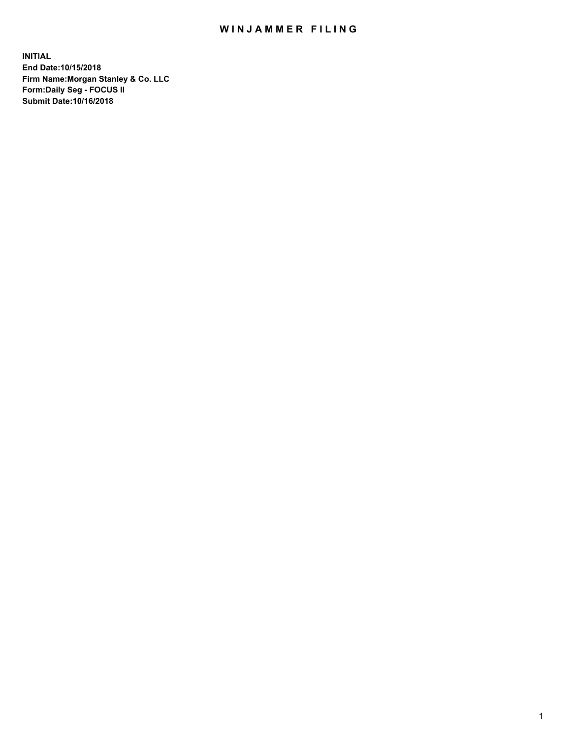## WIN JAMMER FILING

**INITIAL End Date:10/15/2018 Firm Name:Morgan Stanley & Co. LLC Form:Daily Seg - FOCUS II Submit Date:10/16/2018**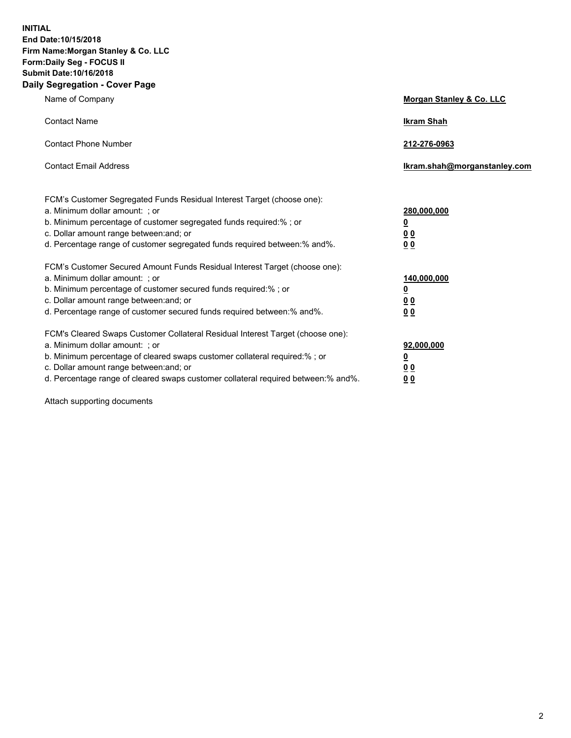**INITIAL End Date:10/15/2018 Firm Name:Morgan Stanley & Co. LLC Form:Daily Seg - FOCUS II Submit Date:10/16/2018 Daily Segregation - Cover Page**

| Name of Company                                                                                                                                                                                                                                                                                                                | Morgan Stanley & Co. LLC                                    |
|--------------------------------------------------------------------------------------------------------------------------------------------------------------------------------------------------------------------------------------------------------------------------------------------------------------------------------|-------------------------------------------------------------|
| <b>Contact Name</b>                                                                                                                                                                                                                                                                                                            | <b>Ikram Shah</b>                                           |
| <b>Contact Phone Number</b>                                                                                                                                                                                                                                                                                                    | 212-276-0963                                                |
| <b>Contact Email Address</b>                                                                                                                                                                                                                                                                                                   | Ikram.shah@morganstanley.com                                |
| FCM's Customer Segregated Funds Residual Interest Target (choose one):<br>a. Minimum dollar amount: ; or<br>b. Minimum percentage of customer segregated funds required:% ; or<br>c. Dollar amount range between: and; or<br>d. Percentage range of customer segregated funds required between:% and%.                         | 280,000,000<br><u>0</u><br>0 Q<br>0 Q                       |
| FCM's Customer Secured Amount Funds Residual Interest Target (choose one):<br>a. Minimum dollar amount: ; or<br>b. Minimum percentage of customer secured funds required:% ; or<br>c. Dollar amount range between: and; or<br>d. Percentage range of customer secured funds required between: % and %.                         | 140,000,000<br><u>0</u><br>0 <sub>0</sub><br>0 <sub>0</sub> |
| FCM's Cleared Swaps Customer Collateral Residual Interest Target (choose one):<br>a. Minimum dollar amount: ; or<br>b. Minimum percentage of cleared swaps customer collateral required:% ; or<br>c. Dollar amount range between: and; or<br>d. Percentage range of cleared swaps customer collateral required between:% and%. | 92,000,000<br><u>0</u><br>0 Q<br>00                         |

Attach supporting documents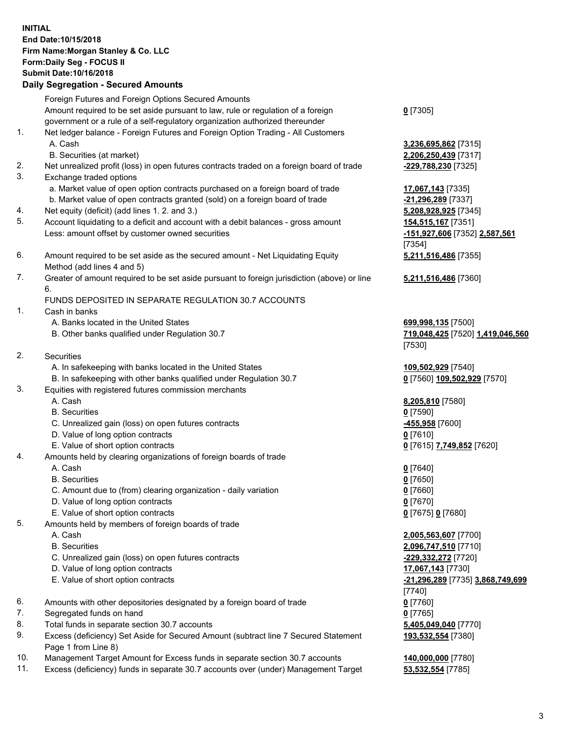## **INITIAL End Date:10/15/2018 Firm Name:Morgan Stanley & Co. LLC Form:Daily Seg - FOCUS II Submit Date:10/16/2018**

## **Daily Segregation - Secured Amounts**

Foreign Futures and Foreign Options Secured Amounts Amount required to be set aside pursuant to law, rule or regulation of a foreign government or a rule of a self-regulatory organization authorized thereunder 1. Net ledger balance - Foreign Futures and Foreign Option Trading - All Customers A. Cash **3,236,695,862** [7315] B. Securities (at market) **2,206,250,439** [7317]

- 2. Net unrealized profit (loss) in open futures contracts traded on a foreign board of trade **-229,788,230** [7325]
- 3. Exchange traded options
	- a. Market value of open option contracts purchased on a foreign board of trade **17,067,143** [7335]
	- b. Market value of open contracts granted (sold) on a foreign board of trade **-21,296,289** [7337]
- 4. Net equity (deficit) (add lines 1. 2. and 3.) **5,208,928,925** [7345]
- 5. Account liquidating to a deficit and account with a debit balances gross amount **154,515,167** [7351] Less: amount offset by customer owned securities **-151,927,606** [7352] **2,587,561**
- 6. Amount required to be set aside as the secured amount Net Liquidating Equity Method (add lines 4 and 5)
- 7. Greater of amount required to be set aside pursuant to foreign jurisdiction (above) or line 6.

## FUNDS DEPOSITED IN SEPARATE REGULATION 30.7 ACCOUNTS

- 1. Cash in banks
	- A. Banks located in the United States **699,998,135** [7500]
	- B. Other banks qualified under Regulation 30.7 **719,048,425** [7520] **1,419,046,560**
- 2. Securities
	- A. In safekeeping with banks located in the United States **109,502,929** [7540]
	- B. In safekeeping with other banks qualified under Regulation 30.7 **0** [7560] **109,502,929** [7570]
- 3. Equities with registered futures commission merchants
	-
	- B. Securities **0** [7590]
	- C. Unrealized gain (loss) on open futures contracts **-455,958** [7600]
	- D. Value of long option contracts **0** [7610]
- E. Value of short option contracts **0** [7615] **7,749,852** [7620]
- 4. Amounts held by clearing organizations of foreign boards of trade
	- A. Cash **0** [7640]
	- B. Securities **0** [7650]
	- C. Amount due to (from) clearing organization daily variation **0** [7660]
	- D. Value of long option contracts **0** [7670]
	- E. Value of short option contracts **0** [7675] **0** [7680]
- 5. Amounts held by members of foreign boards of trade
	-
	-
	- C. Unrealized gain (loss) on open futures contracts **-229,332,272** [7720]
	- D. Value of long option contracts **17,067,143** [7730]
	- E. Value of short option contracts **-21,296,289** [7735] **3,868,749,699**
- 6. Amounts with other depositories designated by a foreign board of trade **0** [7760]
- 7. Segregated funds on hand **0** [7765]
- 8. Total funds in separate section 30.7 accounts **5,405,049,040** [7770]
- 9. Excess (deficiency) Set Aside for Secured Amount (subtract line 7 Secured Statement Page 1 from Line 8)
- 10. Management Target Amount for Excess funds in separate section 30.7 accounts **140,000,000** [7780]
- 11. Excess (deficiency) funds in separate 30.7 accounts over (under) Management Target **53,532,554** [7785]

**0** [7305]

[7354] **5,211,516,486** [7355]

**5,211,516,486** [7360]

[7530]

A. Cash **8,205,810** [7580]

 A. Cash **2,005,563,607** [7700] B. Securities **2,096,747,510** [7710] [7740] **193,532,554** [7380]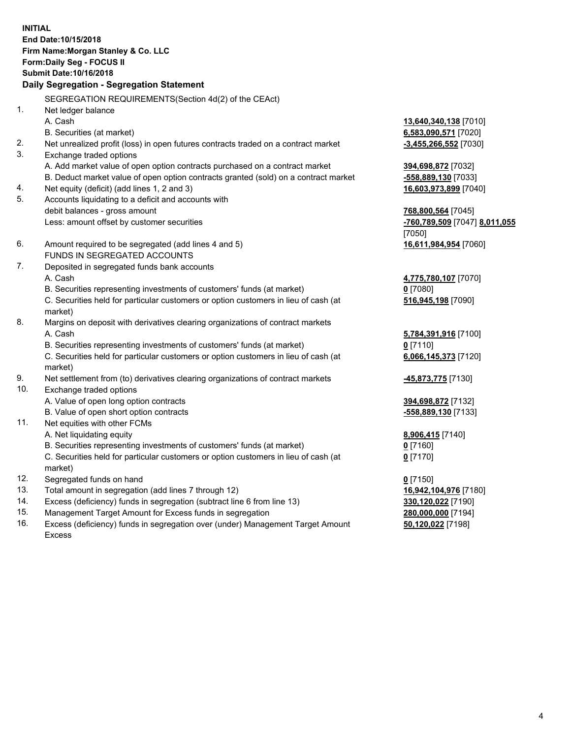**INITIAL End Date:10/15/2018 Firm Name:Morgan Stanley & Co. LLC Form:Daily Seg - FOCUS II Submit Date:10/16/2018 Daily Segregation - Segregation Statement** SEGREGATION REQUIREMENTS(Section 4d(2) of the CEAct) 1. Net ledger balance A. Cash **13,640,340,138** [7010] B. Securities (at market) **6,583,090,571** [7020] 2. Net unrealized profit (loss) in open futures contracts traded on a contract market **-3,455,266,552** [7030] 3. Exchange traded options A. Add market value of open option contracts purchased on a contract market **394,698,872** [7032] B. Deduct market value of open option contracts granted (sold) on a contract market **-558,889,130** [7033] 4. Net equity (deficit) (add lines 1, 2 and 3) **16,603,973,899** [7040] 5. Accounts liquidating to a deficit and accounts with debit balances - gross amount **768,800,564** [7045] Less: amount offset by customer securities **-760,789,509** [7047] **8,011,055** [7050] 6. Amount required to be segregated (add lines 4 and 5) **16,611,984,954** [7060] FUNDS IN SEGREGATED ACCOUNTS 7. Deposited in segregated funds bank accounts A. Cash **4,775,780,107** [7070] B. Securities representing investments of customers' funds (at market) **0** [7080] C. Securities held for particular customers or option customers in lieu of cash (at market) **516,945,198** [7090] 8. Margins on deposit with derivatives clearing organizations of contract markets A. Cash **5,784,391,916** [7100] B. Securities representing investments of customers' funds (at market) **0** [7110] C. Securities held for particular customers or option customers in lieu of cash (at market) **6,066,145,373** [7120] 9. Net settlement from (to) derivatives clearing organizations of contract markets **-45,873,775** [7130] 10. Exchange traded options A. Value of open long option contracts **394,698,872** [7132] B. Value of open short option contracts **and the set of our set of our set of our set of our set of our set of our set of our set of our set of our set of our set of our set of our set of our set of our set of our set of o** 11. Net equities with other FCMs A. Net liquidating equity **8,906,415** [7140] B. Securities representing investments of customers' funds (at market) **0** [7160] C. Securities held for particular customers or option customers in lieu of cash (at market) **0** [7170] 12. Segregated funds on hand **0** [7150] 13. Total amount in segregation (add lines 7 through 12) **16,942,104,976** [7180] 14. Excess (deficiency) funds in segregation (subtract line 6 from line 13) **330,120,022** [7190]

- 15. Management Target Amount for Excess funds in segregation **280,000,000** [7194]
- 16. Excess (deficiency) funds in segregation over (under) Management Target Amount Excess

**50,120,022** [7198]